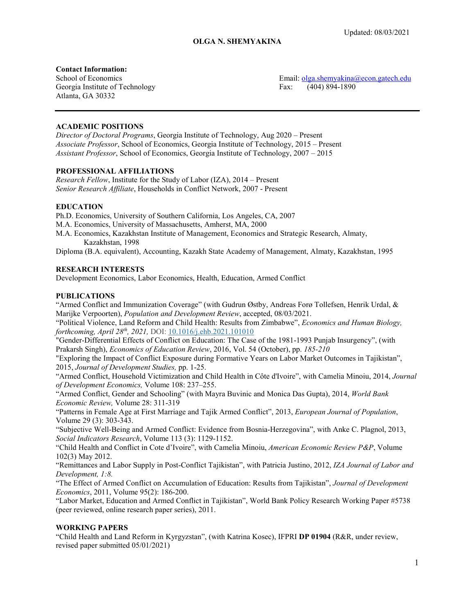## **Contact Information:**

Georgia Institute of Technology Fax: (404) 894-1890 Atlanta, GA 30332

School of Economics **Email:** [olga.shemyakina@econ.gatech.edu](mailto:olga.shemyakina@econ.gatech.edu)

# **ACADEMIC POSITIONS**

*Director of Doctoral Programs*, Georgia Institute of Technology, Aug 2020 – Present *Associate Professor*, School of Economics, Georgia Institute of Technology, 2015 – Present *Assistant Professor*, School of Economics, Georgia Institute of Technology, 2007 – 2015

# **PROFESSIONAL AFFILIATIONS**

*Research Fellow*, Institute for the Study of Labor (IZA), 2014 – Present *Senior Research Affiliate*, Households in Conflict Network, 2007 - Present

# **EDUCATION**

Ph.D. Economics, University of Southern California, Los Angeles, CA, 2007 M.A. Economics, University of Massachusetts, Amherst, MA, 2000 M.A. Economics, Kazakhstan Institute of Management, Economics and Strategic Research, Almaty, Kazakhstan, 1998

Diploma (B.A. equivalent), Accounting, Kazakh State Academy of Management, Almaty, Kazakhstan, 1995

## **RESEARCH INTERESTS**

Development Economics, Labor Economics, Health, Education, Armed Conflict

# **PUBLICATIONS**

"Armed Conflict and Immunization Coverage" (with Gudrun Østby, Andreas Forø Tollefsen, Henrik Urdal, & Marijke Verpoorten), *Population and Development Review*, accepted, 08/03/2021.

"Political Violence, Land Reform and Child Health: Results from Zimbabwe", *Economics and Human Biology, forthcoming, April 28th, 2021,* DOI: [10.1016/j.ehb.2021.101010](https://doi.org/10.1016/j.ehb.2021.101010)

"Gender-Differential Effects of Conflict on Education: The Case of the 1981-1993 Punjab Insurgency", (with Prakarsh Singh), *Economics of Education Review*, 2016, Vol. 54 (October), pp. *185-210*

"Exploring the Impact of Conflict Exposure during Formative Years on Labor Market Outcomes in Tajikistan", 2015, *Journal of Development Studies,* pp. 1-25.

"Armed Conflict, Household Victimization and Child Health in Côte d'Ivoire", with Camelia Minoiu, 2014, *Journal of Development Economics,* Volume 108: 237–255.

"Armed Conflict, Gender and Schooling" (with Mayra Buvinic and Monica Das Gupta), 2014, *World Bank Economic Review,* Volume 28: 311-319

"Patterns in Female Age at First Marriage and Tajik Armed Conflict", 2013, *European Journal of Population*, Volume 29 (3): 303-343.

"Subjective Well-Being and Armed Conflict: Evidence from Bosnia-Herzegovina", with Anke C. Plagnol, 2013, *Social Indicators Research*, Volume 113 (3): 1129-1152.

"Child Health and Conflict in Cote d'Ivoire", with Camelia Minoiu, *American Economic Review P&P*, Volume 102(3) May 2012.

"Remittances and Labor Supply in Post-Conflict Tajikistan", with Patricia Justino, 2012, *IZA Journal of Labor and Development, 1:8.*

"The Effect of Armed Conflict on Accumulation of Education: Results from Tajikistan", *Journal of Development Economics*, 2011, Volume 95(2): 186-200.

"Labor Market, Education and Armed Conflict in Tajikistan", World Bank Policy Research Working Paper #5738 (peer reviewed, online research paper series), 2011.

#### **WORKING PAPERS**

"Child Health and Land Reform in Kyrgyzstan", (with Katrina Kosec), IFPRI **DP 01904** (R&R, under review, revised paper submitted 05/01/2021)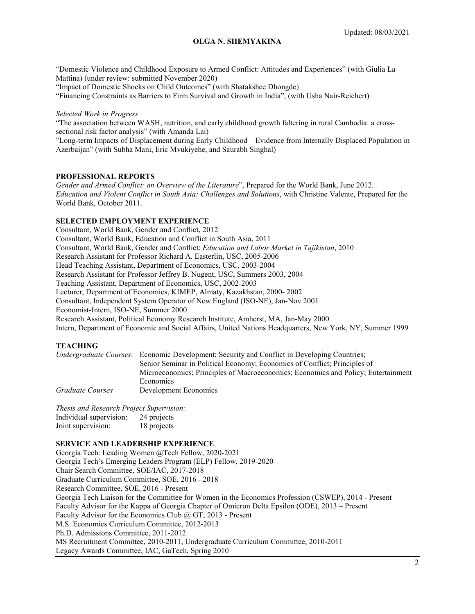"Domestic Violence and Childhood Exposure to Armed Conflict: Attitudes and Experiences" (with Giulia La Mattina) (under review: submitted November 2020) "Impact of Domestic Shocks on Child Outcomes" (with Shatakshee Dhongde)

"Financing Constraints as Barriers to Firm Survival and Growth in India", (with Usha Nair-Reichert)

#### *Selected Work in Progress*

"The association between WASH, nutrition, and early childhood growth faltering in rural Cambodia: a crosssectional risk factor analysis" (with Amanda Lai)

"Long-term Impacts of Displacement during Early Childhood – Evidence from Internally Displaced Population in Azerbaijan" (with Subha Mani, Eric Mvukiyehe, and Saurabh Singhal)

## **PROFESSIONAL REPORTS**

*Gender and Armed Conflict: an Overview of the Literature*", Prepared for the World Bank, June 2012. *Education and Violent Conflict in South Asia: Challenges and Solutions*, with Christine Valente, Prepared for the World Bank, October 2011.

## **SELECTED EMPLOYMENT EXPERIENCE**

Consultant, World Bank, Gender and Conflict, 2012 Consultant, World Bank, Education and Conflict in South Asia, 2011 Consultant, World Bank, Gender and Conflict: *Education and Labor Market in Tajikistan*, 2010 Research Assistant for Professor Richard A. Easterlin, USC, 2005-2006 Head Teaching Assistant, Department of Economics, USC, 2003-2004 Research Assistant for Professor Jeffrey B. Nugent, USC, Summers 2003, 2004 Teaching Assistant, Department of Economics, USC, 2002-2003 Lecturer, Department of Economics, KIMEP, Almaty, Kazakhstan, 2000- 2002 Consultant, Independent System Operator of New England (ISO-NE), Jan-Nov 2001 Economist-Intern, ISO-NE, Summer 2000 Research Assistant, Political Economy Research Institute, Amherst, MA, Jan-May 2000 Intern, Department of Economic and Social Affairs, United Nations Headquarters, New York, NY, Summer 1999

# **TEACHING**

*Undergraduate Courses*: Economic Development; Security and Conflict in Developing Countries; Senior Seminar in Political Economy; Economics of Conflict; Principles of Microeconomics; Principles of Macroeconomics; Economics and Policy; Entertainment Economics *Graduate Courses* Development Economics

*Thesis and Research Project Supervision:*

| Individual supervision: | 24 projects |
|-------------------------|-------------|
| Joint supervision:      | 18 projects |

## **SERVICE AND LEADERSHIP EXPERIENCE**

Georgia Tech: Leading Women @Tech Fellow, 2020-2021 Georgia Tech's Emerging Leaders Program (ELP) Fellow, 2019-2020 Chair Search Committee, SOE/IAC, 2017-2018 Graduate Curriculum Committee, SOE, 2016 - 2018 Research Committee, SOE, 2016 - Present Georgia Tech Liaison for the Committee for Women in the Economics Profession (CSWEP), 2014 - Present Faculty Advisor for the Kappa of Georgia Chapter of Omicron Delta Epsilon (ODE), 2013 – Present Faculty Advisor for the Economics Club @ GT, 2013 - Present M.S. Economics Curriculum Committee, 2012-2013 Ph.D. Admissions Committee, 2011-2012 MS Recruitment Committee, 2010-2011, Undergraduate Curriculum Committee, 2010-2011 Legacy Awards Committee, IAC, GaTech, Spring 2010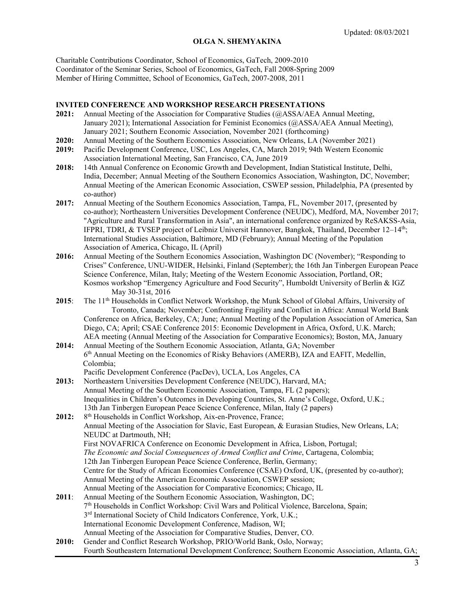Charitable Contributions Coordinator, School of Economics, GaTech, 2009-2010 Coordinator of the Seminar Series, School of Economics, GaTech, Fall 2008-Spring 2009 Member of Hiring Committee, School of Economics, GaTech, 2007-2008, 2011

#### **INVITED CONFERENCE AND WORKSHOP RESEARCH PRESENTATIONS**

- **2021:** Annual Meeting of the Association for Comparative Studies (@ASSA/AEA Annual Meeting, January 2021); International Association for Feminist Economics (@ASSA/AEA Annual Meeting), January 2021; Southern Economic Association, November 2021 (forthcoming)
- **2020:** Annual Meeting of the Southern Economics Association, New Orleans, LA (November 2021)
- **2019:** Pacific Development Conference, USC, Los Angeles, CA, March 2019; 94th Western Economic Association International Meeting, San Francisco, CA, June 2019
- **2018:** 14th Annual Conference on Economic Growth and Development, Indian Statistical Institute, Delhi, India, December; Annual Meeting of the Southern Economics Association, Washington, DC, November; Annual Meeting of the American Economic Association, CSWEP session, Philadelphia, PA (presented by co-author)
- **2017:** Annual Meeting of the Southern Economics Association, Tampa, FL, November 2017, (presented by co-author); Northeastern Universities Development Conference (NEUDC), Medford, MA, November 2017; "Agriculture and Rural Transformation in Asia", an international conference organized by ReSAKSS-Asia, IFPRI, TDRI, & TVSEP project of Leibniz Universit Hannover, Bangkok, Thailand, December 12-14<sup>th</sup>; International Studies Association, Baltimore, MD (February); Annual Meeting of the Population Association of America, Chicago, IL (April)
- **2016:** Annual Meeting of the Southern Economics Association, Washington DC (November); "Responding to Crises" Conference, UNU-WIDER, Helsinki, Finland (September); the 16th Jan Tinbergen European Peace Science Conference, Milan, Italy; Meeting of the Western Economic Association, Portland, OR; Kosmos workshop "Emergency Agriculture and Food Security", Humboldt University of Berlin & IGZ May 30-31st, 2016
- 2015: The 11<sup>th</sup> Households in Conflict Network Workshop, the Munk School of Global Affairs, University of Toronto, Canada; November; Confronting Fragility and Conflict in Africa: Annual World Bank Conference on Africa, Berkeley, CA; June; Annual Meeting of the Population Association of America, San Diego, CA; April; CSAE Conference 2015: Economic Development in Africa, Oxford, U.K. March; AEA meeting (Annual Meeting of the Association for Comparative Economics); Boston, MA, January
- **2014:** Annual Meeting of the Southern Economic Association, Atlanta, GA; November 6<sup>th</sup> Annual Meeting on the Economics of Risky Behaviors (AMERB), IZA and EAFIT, Medellin, Colombia;
	- Pacific Development Conference (PacDev), UCLA, Los Angeles, CA
- **2013:** Northeastern Universities Development Conference (NEUDC), Harvard, MA; Annual Meeting of the Southern Economic Association, Tampa, FL (2 papers); Inequalities in Children's Outcomes in Developing Countries, St. Anne's College, Oxford, U.K.; 13th Jan Tinbergen European Peace Science Conference, Milan, Italy (2 papers)
- 2012: 8<sup>th</sup> Households in Conflict Workshop, Aix-en-Provence, France; Annual Meeting of the Association for Slavic, East European, & Eurasian Studies, New Orleans, LA; NEUDC at Dartmouth, NH; First NOVAFRICA Conference on Economic Development in Africa, Lisbon, Portugal; *The Economic and Social Consequences of Armed Conflict and Crime*, Cartagena, Colombia; 12th Jan Tinbergen European Peace Science Conference, Berlin, Germany; Centre for the Study of African Economies Conference (CSAE) Oxford, UK, (presented by co-author); Annual Meeting of the American Economic Association, CSWEP session; Annual Meeting of the Association for Comparative Economics; Chicago, IL **2011**: Annual Meeting of the Southern Economic Association, Washington, DC;
- 7th Households in Conflict Workshop: Civil Wars and Political Violence, Barcelona, Spain; 3<sup>rd</sup> International Society of Child Indicators Conference, York, U.K.; International Economic Development Conference, Madison, WI; Annual Meeting of the Association for Comparative Studies, Denver, CO.
- **2010:** Gender and Conflict Research Workshop, PRIO/World Bank, Oslo, Norway; Fourth Southeastern International Development Conference; Southern Economic Association, Atlanta, GA;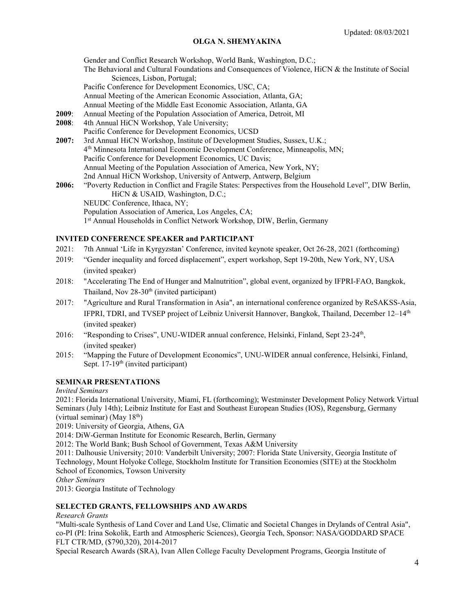Gender and Conflict Research Workshop, World Bank, Washington, D.C.; The Behavioral and Cultural Foundations and Consequences of Violence, HiCN & the Institute of Social Sciences, Lisbon, Portugal; Pacific Conference for Development Economics, USC, CA; Annual Meeting of the American Economic Association, Atlanta, GA; Annual Meeting of the Middle East Economic Association, Atlanta, GA **2009**: Annual Meeting of the Population Association of America, Detroit, MI **2008**: 4th Annual HiCN Workshop, Yale University; Pacific Conference for Development Economics, UCSD **2007:** 3rd Annual HiCN Workshop, Institute of Development Studies, Sussex, U.K.; 4th Minnesota International Economic Development Conference, Minneapolis, MN; Pacific Conference for Development Economics, UC Davis; Annual Meeting of the Population Association of America, New York, NY; 2nd Annual HiCN Workshop, University of Antwerp, Antwerp, Belgium **2006:** "Poverty Reduction in Conflict and Fragile States: Perspectives from the Household Level", DIW Berlin, HiCN & USAID, Washington, D.C.; NEUDC Conference, Ithaca, NY; Population Association of America, Los Angeles, CA; 1st Annual Households in Conflict Network Workshop, DIW, Berlin, Germany

# **INVITED CONFERENCE SPEAKER and PARTICIPANT**

- 2021: 7th Annual 'Life in Kyrgyzstan' Conference, invited keynote speaker, Oct 26-28, 2021 (forthcoming)
- 2019: "Gender inequality and forced displacement", expert workshop, Sept 19-20th, New York, NY, USA (invited speaker)
- 2018: "Accelerating The End of Hunger and Malnutrition", global event, organized by IFPRI-FAO, Bangkok, Thailand, Nov  $28-30<sup>th</sup>$  (invited participant)
- 2017: "Agriculture and Rural Transformation in Asia", an international conference organized by ReSAKSS-Asia, IFPRI, TDRI, and TVSEP project of Leibniz Universit Hannover, Bangkok, Thailand, December 12–14<sup>th</sup> (invited speaker)
- 2016: "Responding to Crises", UNU-WIDER annual conference, Helsinki, Finland, Sept  $23-24<sup>th</sup>$ , (invited speaker)
- 2015: "Mapping the Future of Development Economics", UNU-WIDER annual conference, Helsinki, Finland, Sept.  $17-19<sup>th</sup>$  (invited participant)

# **SEMINAR PRESENTATIONS**

*Invited Seminars*

2021: Florida International University, Miami, FL (forthcoming); Westminster Development Policy Network Virtual Seminars (July 14th); Leibniz Institute for East and Southeast European Studies (IOS), Regensburg, Germany (virtual seminar) (May  $18<sup>th</sup>$ )

2019: University of Georgia, Athens, GA

2014: DiW-German Institute for Economic Research, Berlin, Germany

2012: The World Bank; Bush School of Government, Texas A&M University

2011: Dalhousie University; 2010: Vanderbilt University; 2007: Florida State University, Georgia Institute of Technology, Mount Holyoke College, Stockholm Institute for Transition Economies (SITE) at the Stockholm School of Economics, Towson University

*Other Seminars*

2013: Georgia Institute of Technology

#### **SELECTED GRANTS, FELLOWSHIPS AND AWARDS**

*Research Grants*

"Multi-scale Synthesis of Land Cover and Land Use, Climatic and Societal Changes in Drylands of Central Asia", co-PI (PI: Irina Sokolik, Earth and Atmospheric Sciences), Georgia Tech, Sponsor: NASA/GODDARD SPACE FLT CTR/MD, (\$790,320), 2014-2017

Special Research Awards (SRA), Ivan Allen College Faculty Development Programs, Georgia Institute of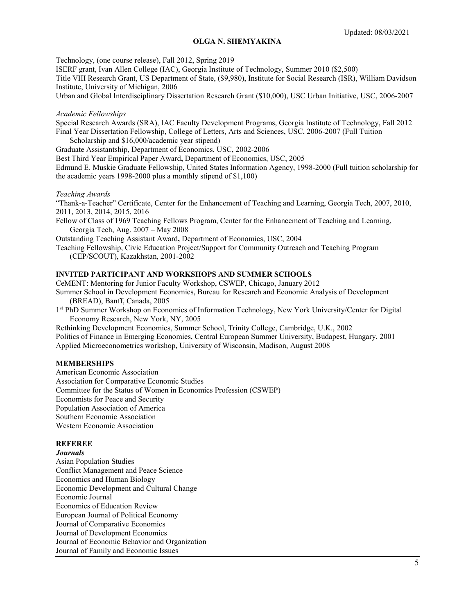Technology, (one course release), Fall 2012, Spring 2019

ISERF grant, Ivan Allen College (IAC), Georgia Institute of Technology, Summer 2010 (\$2,500)

Title VIII Research Grant, US Department of State, (\$9,980), Institute for Social Research (ISR), William Davidson Institute, University of Michigan, 2006

Urban and Global Interdisciplinary Dissertation Research Grant (\$10,000), USC Urban Initiative, USC, 2006-2007

#### *Academic Fellowships*

Special Research Awards (SRA), IAC Faculty Development Programs, Georgia Institute of Technology, Fall 2012 Final Year Dissertation Fellowship, College of Letters, Arts and Sciences, USC, 2006-2007 (Full Tuition Scholarship and \$16,000/academic year stipend)

Graduate Assistantship, Department of Economics, USC, 2002-2006

Best Third Year Empirical Paper Award**,** Department of Economics, USC, 2005

Edmund E. Muskie Graduate Fellowship, United States Information Agency, 1998-2000 (Full tuition scholarship for the academic years 1998-2000 plus a monthly stipend of \$1,100)

#### *Teaching Awards*

"Thank-a-Teacher" Certificate, Center for the Enhancement of Teaching and Learning, Georgia Tech, 2007, 2010, 2011, 2013, 2014, 2015, 2016

Fellow of Class of 1969 Teaching Fellows Program, Center for the Enhancement of Teaching and Learning, Georgia Tech, Aug. 2007 – May 2008

Outstanding Teaching Assistant Award**,** Department of Economics, USC, 2004

Teaching Fellowship, Civic Education Project/Support for Community Outreach and Teaching Program (CEP/SCOUT), Kazakhstan, 2001-2002

## **INVITED PARTICIPANT AND WORKSHOPS AND SUMMER SCHOOLS**

CeMENT: Mentoring for Junior Faculty Workshop, CSWEP, Chicago, January 2012

Summer School in Development Economics, Bureau for Research and Economic Analysis of Development (BREAD), Banff, Canada, 2005

1st PhD Summer Workshop on Economics of Information Technology, New York University/Center for Digital Economy Research, New York, NY, 2005

Rethinking Development Economics, Summer School, Trinity College, Cambridge, U.K., 2002 Politics of Finance in Emerging Economies, Central European Summer University, Budapest, Hungary, 2001 Applied Microeconometrics workshop, University of Wisconsin, Madison, August 2008

#### **MEMBERSHIPS**

American Economic Association Association for Comparative Economic Studies Committee for the Status of Women in Economics Profession (CSWEP) Economists for Peace and Security Population Association of America Southern Economic Association Western Economic Association

# **REFEREE**

*Journals* Asian Population Studies Conflict Management and Peace Science Economics and Human Biology Economic Development and Cultural Change Economic Journal Economics of Education Review European Journal of Political Economy Journal of Comparative Economics Journal of Development Economics Journal of Economic Behavior and Organization Journal of Family and Economic Issues